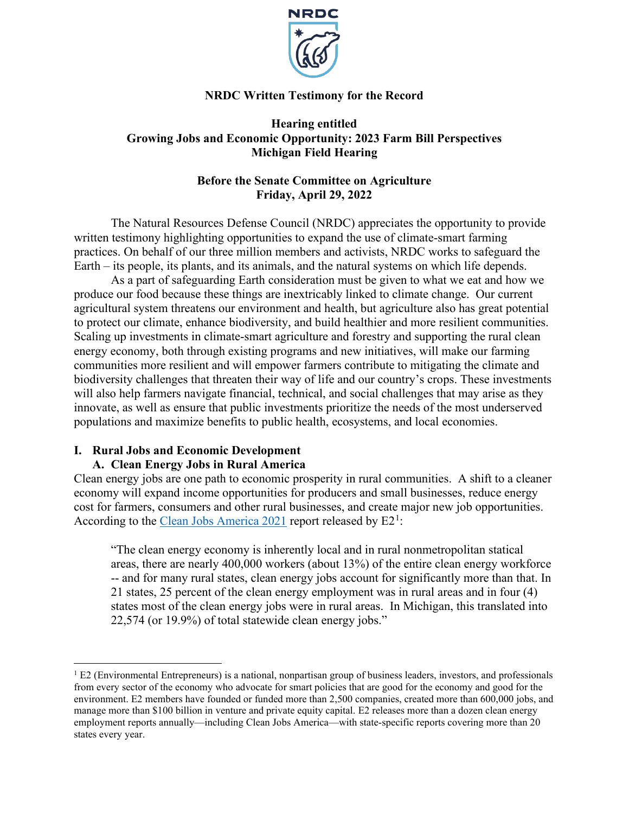

# **NRDC Written Testimony for the Record**

# **Hearing entitled Growing Jobs and Economic Opportunity: 2023 Farm Bill Perspectives Michigan Field Hearing**

# **Before the Senate Committee on Agriculture Friday, April 29, 2022**

The Natural Resources Defense Council (NRDC) appreciates the opportunity to provide written testimony highlighting opportunities to expand the use of climate-smart farming practices. On behalf of our three million members and activists, NRDC works to safeguard the Earth – its people, its plants, and its animals, and the natural systems on which life depends.

As a part of safeguarding Earth consideration must be given to what we eat and how we produce our food because these things are inextricably linked to climate change. Our current agricultural system threatens our environment and health, but agriculture also has great potential to protect our climate, enhance biodiversity, and build healthier and more resilient communities. Scaling up investments in climate-smart agriculture and forestry and supporting the rural clean energy economy, both through existing programs and new initiatives, will make our farming communities more resilient and will empower farmers contribute to mitigating the climate and biodiversity challenges that threaten their way of life and our country's crops. These investments will also help farmers navigate financial, technical, and social challenges that may arise as they innovate, as well as ensure that public investments prioritize the needs of the most underserved populations and maximize benefits to public health, ecosystems, and local economies.

# **I. Rural Jobs and Economic Development**

# **A. Clean Energy Jobs in Rural America**

Clean energy jobs are one path to economic prosperity in rural communities. A shift to a cleaner economy will expand income opportunities for producers and small businesses, reduce energy cost for farmers, consumers and other rural businesses, and create major new job opportunities. According to the [Clean Jobs America 2021](https://e2.org/reports/clean-jobs-america-2021/) report released by E2<sup>[1](#page-0-0)</sup>:

"The clean energy economy is inherently local and in rural nonmetropolitan statical areas, there are nearly 400,000 workers (about 13%) of the entire clean energy workforce -- and for many rural states, clean energy jobs account for significantly more than that. In 21 states, 25 percent of the clean energy employment was in rural areas and in four (4) states most of the clean energy jobs were in rural areas. In Michigan, this translated into 22,574 (or 19.9%) of total statewide clean energy jobs."

<span id="page-0-0"></span> $1$  E2 (Environmental Entrepreneurs) is a national, nonpartisan group of business leaders, investors, and professionals from every sector of the economy who advocate for smart policies that are good for the economy and good for the environment. E2 members have founded or funded more than 2,500 companies, created more than 600,000 jobs, and manage more than \$100 billion in venture and private equity capital. E2 releases more than a dozen clean energy employment reports annually—including Clean Jobs America—with state-specific reports covering more than 20 states every year.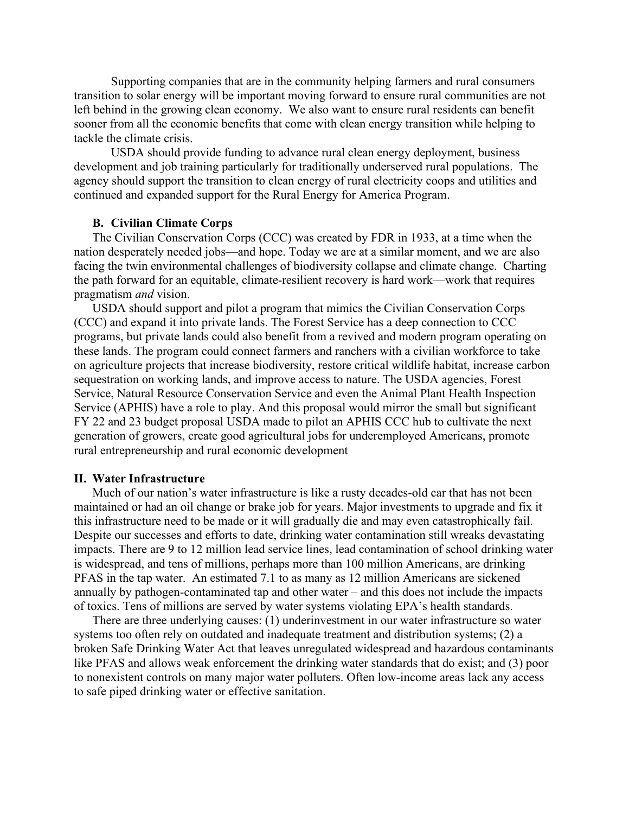Supporting companies that are in the community helping farmers and rural consumers transition to solar energy will be important moving forward to ensure rural communities are not left behind in the growing clean economy. We also want to ensure rural residents can benefit sooner from all the economic benefits that come with clean energy transition while helping to tackle the climate crisis.

USDA should provide funding to advance rural clean energy deployment, business development and job training particularly for traditionally underserved rural populations. The agency should support the transition to clean energy of rural electricity coops and utilities and continued and expanded support for the Rural Energy for America Program.

## **B. Civilian Climate Corps**

The Civilian Conservation Corps (CCC) was created by FDR in 1933, at a time when the nation desperately needed jobs—and hope. Today we are at a similar moment, and we are also facing the twin environmental challenges of biodiversity collapse and climate change. Charting the path forward for an equitable, climate-resilient recovery is hard work—work that requires pragmatism *and* vision.

USDA should support and pilot a program that mimics the Civilian Conservation Corps (CCC) and expand it into private lands. The Forest Service has a deep connection to CCC programs, but private lands could also benefit from a revived and modern program operating on these lands. The program could connect farmers and ranchers with a civilian workforce to take on agriculture projects that increase biodiversity, restore critical wildlife habitat, increase carbon sequestration on working lands, and improve access to nature. The USDA agencies, Forest Service, Natural Resource Conservation Service and even the Animal Plant Health Inspection Service (APHIS) have a role to play. And this proposal would mirror the small but significant FY 22 and 23 budget proposal USDA made to pilot an APHIS CCC hub to cultivate the next generation of growers, create good agricultural jobs for underemployed Americans, promote rural entrepreneurship and rural economic development

### **II. Water Infrastructure**

Much of our nation's water infrastructure is like a rusty decades-old car that has not been maintained or had an oil change or brake job for years. Major investments to upgrade and fix it this infrastructure need to be made or it will gradually die and may even catastrophically fail. Despite our successes and efforts to date, drinking water contamination still wreaks devastating impacts. There are 9 to 12 million lead service lines, lead contamination of school drinking water is widespread, and tens of millions, perhaps more than 100 million Americans, are drinking PFAS in the tap water. An estimated 7.1 to as many as 12 million Americans are sickened annually by pathogen-contaminated tap and other water – and this does not include the impacts of toxics. Tens of millions are served by water systems violating EPA's health standards.

There are three underlying causes: (1) underinvestment in our water infrastructure so water systems too often rely on outdated and inadequate treatment and distribution systems; (2) a broken Safe Drinking Water Act that leaves unregulated widespread and hazardous contaminants like PFAS and allows weak enforcement the drinking water standards that do exist; and (3) poor to nonexistent controls on many major water polluters. Often low-income areas lack any access to safe piped drinking water or effective sanitation.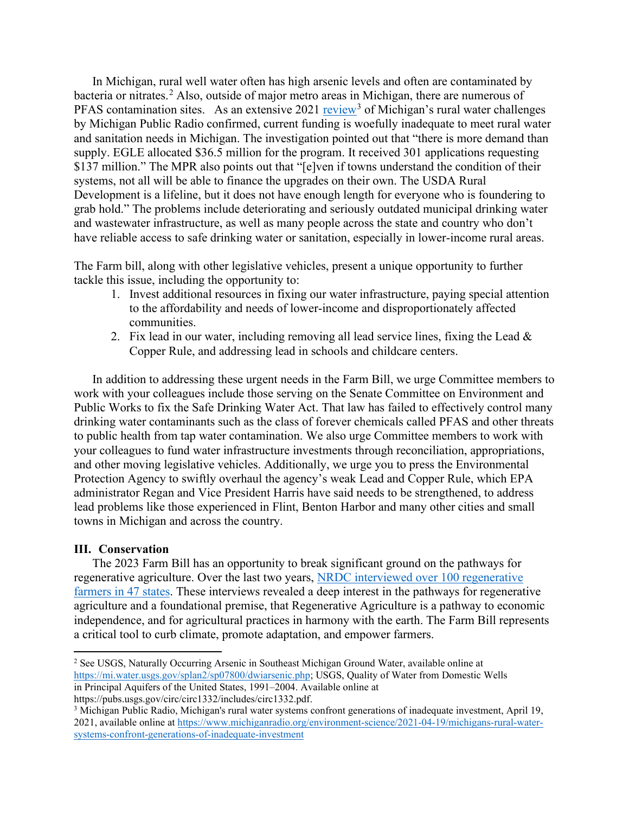In Michigan, rural well water often has high arsenic levels and often are contaminated by bacteria or nitrates. [2](#page-2-0) Also, outside of major metro areas in Michigan, there are numerous of PFAS contamination sites. As an extensive  $2021$  [review](https://www.michiganradio.org/environment-science/2021-04-19/michigans-rural-water-systems-confront-generations-of-inadequate-investment)<sup>[3](#page-2-1)</sup> of Michigan's rural water challenges by Michigan Public Radio confirmed, current funding is woefully inadequate to meet rural water and sanitation needs in Michigan. The investigation pointed out that "there is more demand than supply. EGLE allocated \$36.5 million for the program. It received 301 applications requesting \$137 million." The MPR also points out that "[e]ven if towns understand the condition of their systems, not all will be able to finance the upgrades on their own. The USDA Rural Development is a lifeline, but it does not have enough length for everyone who is foundering to grab hold." The problems include deteriorating and seriously outdated municipal drinking water and wastewater infrastructure, as well as many people across the state and country who don't have reliable access to safe drinking water or sanitation, especially in lower-income rural areas.

The Farm bill, along with other legislative vehicles, present a unique opportunity to further tackle this issue, including the opportunity to:

- 1. Invest additional resources in fixing our water infrastructure, paying special attention to the affordability and needs of lower-income and disproportionately affected communities.
- 2. Fix lead in our water, including removing all lead service lines, fixing the Lead  $\&$ Copper Rule, and addressing lead in schools and childcare centers.

In addition to addressing these urgent needs in the Farm Bill, we urge Committee members to work with your colleagues include those serving on the Senate Committee on Environment and Public Works to fix the Safe Drinking Water Act. That law has failed to effectively control many drinking water contaminants such as the class of forever chemicals called PFAS and other threats to public health from tap water contamination. We also urge Committee members to work with your colleagues to fund water infrastructure investments through reconciliation, appropriations, and other moving legislative vehicles. Additionally, we urge you to press the Environmental Protection Agency to swiftly overhaul the agency's weak Lead and Copper Rule, which EPA administrator Regan and Vice President Harris have said needs to be strengthened, to address lead problems like those experienced in Flint, Benton Harbor and many other cities and small towns in Michigan and across the country.

# **III. Conservation**

The 2023 Farm Bill has an opportunity to break significant ground on the pathways for regenerative agriculture. Over the last two years, [NRDC interviewed over 100 regenerative](https://www.nrdc.org/experts/arohi-sharma/nrdc-report-pathways-regenerative-agriculture)  [farmers in 47 states.](https://www.nrdc.org/experts/arohi-sharma/nrdc-report-pathways-regenerative-agriculture) These interviews revealed a deep interest in the pathways for regenerative agriculture and a foundational premise, that Regenerative Agriculture is a pathway to economic independence, and for agricultural practices in harmony with the earth. The Farm Bill represents a critical tool to curb climate, promote adaptation, and empower farmers.

https://pubs.usgs.gov/circ/circ1332/includes/circ1332.pdf.

<span id="page-2-0"></span><sup>2</sup> See USGS, Naturally Occurring Arsenic in Southeast Michigan Ground Water, available online at [https://mi.water.usgs.gov/splan2/sp07800/dwiarsenic.php;](https://mi.water.usgs.gov/splan2/sp07800/dwiarsenic.php) USGS, Quality of Water from Domestic Wells in Principal Aquifers of the United States, 1991–2004. Available online at

<span id="page-2-1"></span><sup>3</sup> Michigan Public Radio, Michigan's rural water systems confront generations of inadequate investment, April 19, 2021, available online at [https://www.michiganradio.org/environment-science/2021-04-19/michigans-rural-water](https://www.michiganradio.org/environment-science/2021-04-19/michigans-rural-water-systems-confront-generations-of-inadequate-investment)[systems-confront-generations-of-inadequate-investment](https://www.michiganradio.org/environment-science/2021-04-19/michigans-rural-water-systems-confront-generations-of-inadequate-investment)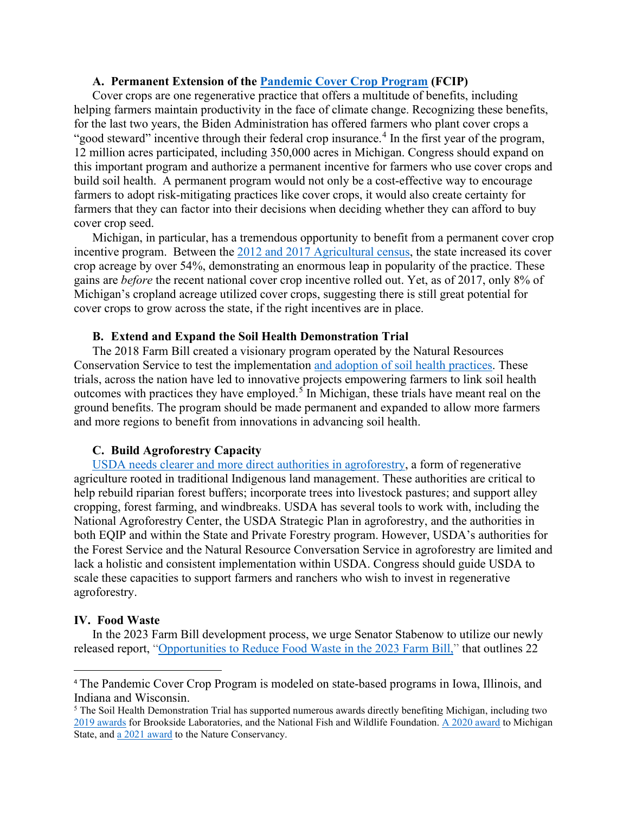# **A. Permanent Extension of the [Pandemic Cover Crop Program](https://www.nrdc.org/experts/lara-bryant/usda-announces-second-year-crop-insurance-savings-program) (FCIP)**

Cover crops are one regenerative practice that offers a multitude of benefits, including helping farmers maintain productivity in the face of climate change. Recognizing these benefits, for the last two years, the Biden Administration has offered farmers who plant cover crops a "good steward" incentive through their federal crop insurance.<sup>[4](#page-3-0)</sup> In the first year of the program, 12 million acres participated, including 350,000 acres in Michigan. Congress should expand on this important program and authorize a permanent incentive for farmers who use cover crops and build soil health. A permanent program would not only be a cost-effective way to encourage farmers to adopt risk-mitigating practices like cover crops, it would also create certainty for farmers that they can factor into their decisions when deciding whether they can afford to buy cover crop seed.

Michigan, in particular, has a tremendous opportunity to benefit from a permanent cover crop incentive program. Between the [2012 and 2017 Agricultural census,](https://www.nrdc.org/experts/lara-bryant/good-news-about-cover-crops-census-agriculture) the state increased its cover crop acreage by over 54%, demonstrating an enormous leap in popularity of the practice. These gains are *before* the recent national cover crop incentive rolled out. Yet, as of 2017, only 8% of Michigan's cropland acreage utilized cover crops, suggesting there is still great potential for cover crops to grow across the state, if the right incentives are in place.

### **B. Extend and Expand the Soil Health Demonstration Trial**

The 2018 Farm Bill created a visionary program operated by the Natural Resources Conservation Service to test the implementation [and adoption of soil health practices.](https://www.nrdc.org/experts/claire-oconnor/soil-secret-weapon-fight-against-climate-change) These trials, across the nation have led to innovative projects empowering farmers to link soil health outcomes with practices they have employed.<sup>[5](#page-3-1)</sup> In Michigan, these trials have meant real on the ground benefits. The program should be made permanent and expanded to allow more farmers and more regions to benefit from innovations in advancing soil health.

# **C. Build Agroforestry Capacity**

[USDA needs clearer and more direct authorities in agroforestry,](https://www.nrdc.org/experts/ashley-cooper/agroforestrys-critical-role-climate-smart-farming) a form of regenerative agriculture rooted in traditional Indigenous land management. These authorities are critical to help rebuild riparian forest buffers; incorporate trees into livestock pastures; and support alley cropping, forest farming, and windbreaks. USDA has several tools to work with, including the National Agroforestry Center, the USDA Strategic Plan in agroforestry, and the authorities in both EQIP and within the State and Private Forestry program. However, USDA's authorities for the Forest Service and the Natural Resource Conversation Service in agroforestry are limited and lack a holistic and consistent implementation within USDA. Congress should guide USDA to scale these capacities to support farmers and ranchers who wish to invest in regenerative agroforestry.

#### **IV. Food Waste**

In the 2023 Farm Bill development process, we urge Senator Stabenow to utilize our newly released report, ["Opportunities to Reduce Food Waste in](https://urldefense.com/v3/__https:/chlpi.org/wp-content/uploads/2022/04/Farm-Bill-2022-Report-and-Summary-web-version.pdf__;!!NO21cQ!HW0ojD8hDA6xZXI1S80_gzzPvr4Gk756BOoPdYHZuCszSbFdQV9mGj5mGss96d_etpFcYMZSmCtYTDA2g8kI7A$) the 2023 Farm Bill," that outlines 22

<span id="page-3-0"></span><sup>4</sup> The Pandemic Cover Crop Program is modeled on state-based programs [in Iowa, Illinois, and](https://www.nrdc.org/experts/lara-bryant/new-wisconsin-cover-crop-bill-helps-farmers-save-money)  [Indiana and Wisconsin.](https://www.nrdc.org/experts/lara-bryant/new-wisconsin-cover-crop-bill-helps-farmers-save-money)

<span id="page-3-1"></span><sup>&</sup>lt;sup>5</sup> The Soil Health Demonstration Trial has supported numerous awards directly benefiting Michigan, including two [2019 awards](https://www.nrcs.usda.gov/wps/portal/nrcs/detail/national/programs/financial/cig/?cid=nrcseprd1512816) for Brookside Laboratories, and the National Fish and Wildlife Foundation. [A 2020 award](https://www.nrcs.usda.gov/wps/portal/nrcs/detail/national/programs/financial/cig/?cid=nrcseprd1659835) to Michigan State, and [a 2021](https://www.nrcs.usda.gov/wps/portal/nrcs/detail/national/programs/financial/cig/?cid=nrcseprd1844634) award to the Nature Conservancy.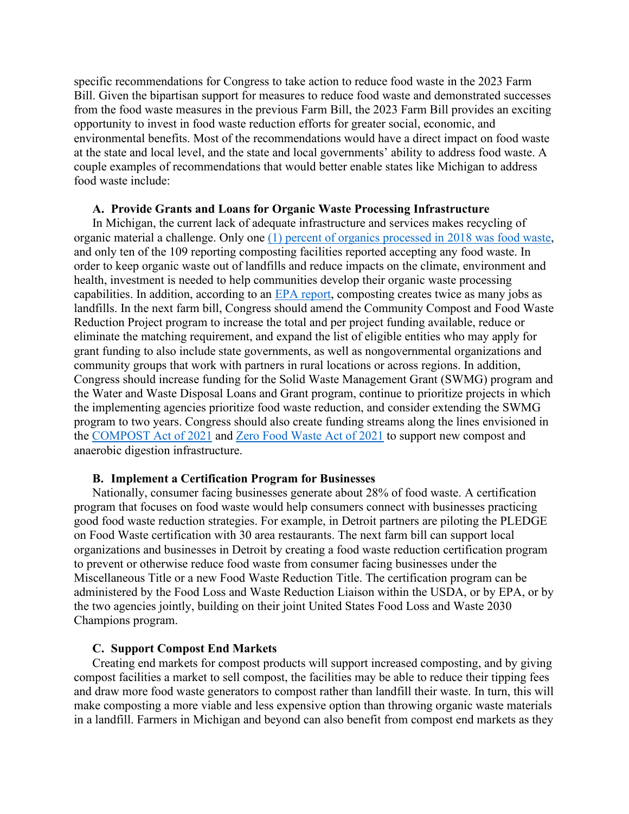specific recommendations for Congress to take action to reduce food waste in the 2023 Farm Bill. Given the bipartisan support for measures to reduce food waste and demonstrated successes from the food waste measures in the previous Farm Bill, the 2023 Farm Bill provides an exciting opportunity to invest in food waste reduction efforts for greater social, economic, and environmental benefits. Most of the recommendations would have a direct impact on food waste at the state and local level, and the state and local governments' ability to address food waste. A couple examples of recommendations that would better enable states like Michigan to address food waste include:

### **A. Provide Grants and Loans for Organic Waste Processing Infrastructure**

In Michigan, the current lack of adequate infrastructure and services makes recycling of organic material a challenge. Only one (1) percent of [organics processed in 2018 was food waste,](https://resource-recycling.com/recycling/2022/01/06/data-corner-propelling-organics-recovery-in-michigan/) and only ten of the 109 reporting composting facilities reported accepting any food waste. In order to keep organic waste out of landfills and reduce impacts on the climate, environment and health, investment is needed to help communities develop their organic waste processing capabilities. In addition, according to an [EPA report,](https://www.epa.gov/smm/recycling-economic-information-rei-report#findings) composting creates twice as many jobs as landfills. In the next farm bill, Congress should amend the Community Compost and Food Waste Reduction Project program to increase the total and per project funding available, reduce or eliminate the matching requirement, and expand the list of eligible entities who may apply for grant funding to also include state governments, as well as nongovernmental organizations and community groups that work with partners in rural locations or across regions. In addition, Congress should increase funding for the Solid Waste Management Grant (SWMG) program and the Water and Waste Disposal Loans and Grant program, continue to prioritize projects in which the implementing agencies prioritize food waste reduction, and consider extending the SWMG program to two years. Congress should also create funding streams along the lines envisioned in the [COMPOST Act of 2021](https://www.congress.gov/bill/117th-congress/house-bill/4443/text#:%7E:text=Introduced%20in%20House%20(07%2F16%2F2021)&text=To%20require%20the%20designation%20of,programs%2C%20and%20for%20other%20purposes.) and [Zero Food Waste Act of 2021](https://www.congress.gov/bill/117th-congress/house-bill/4444/text#:%7E:text=Introduced%20in%20House%20(07%2F16%2F2021)&text=To%20provide%20grants%20to%20reduce,waste%2C%20and%20for%20other%20purposes.) to support new compost and anaerobic digestion infrastructure.

### **B. Implement a Certification Program for Businesses**

Nationally, consumer facing businesses generate about 28% of food waste. A certification program that focuses on food waste would help consumers connect with businesses practicing good food waste reduction strategies. For example, in Detroit partners are piloting the PLEDGE on Food Waste certification with 30 area restaurants. The next farm bill can support local organizations and businesses in Detroit by creating a food waste reduction certification program to prevent or otherwise reduce food waste from consumer facing businesses under the Miscellaneous Title or a new Food Waste Reduction Title. The certification program can be administered by the Food Loss and Waste Reduction Liaison within the USDA, or by EPA, or by the two agencies jointly, building on their joint United States Food Loss and Waste 2030 Champions program.

#### **C. Support Compost End Markets**

Creating end markets for compost products will support increased composting, and by giving compost facilities a market to sell compost, the facilities may be able to reduce their tipping fees and draw more food waste generators to compost rather than landfill their waste. In turn, this will make composting a more viable and less expensive option than throwing organic waste materials in a landfill. Farmers in Michigan and beyond can also benefit from compost end markets as they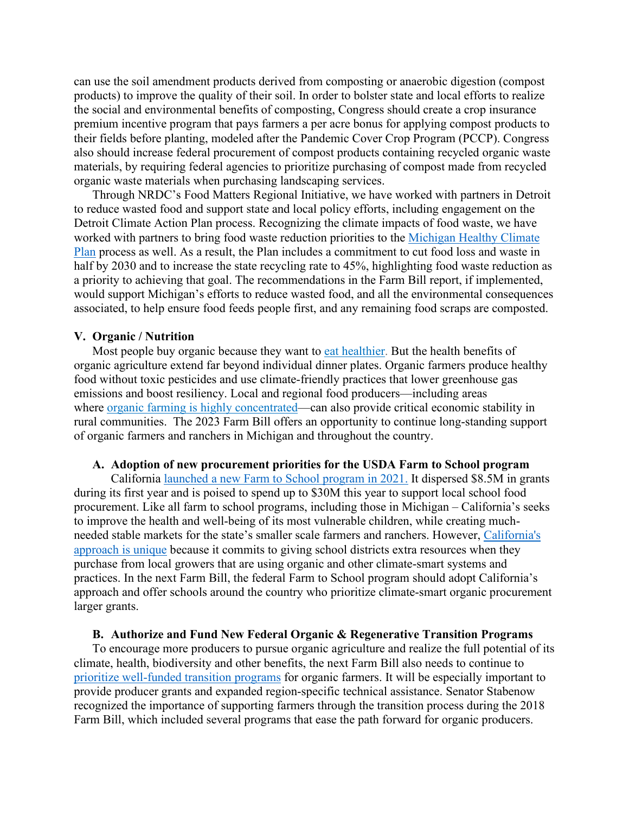can use the soil amendment products derived from composting or anaerobic digestion (compost products) to improve the quality of their soil. In order to bolster state and local efforts to realize the social and environmental benefits of composting, Congress should create a crop insurance premium incentive program that pays farmers a per acre bonus for applying compost products to their fields before planting, modeled after the Pandemic Cover Crop Program (PCCP). Congress also should increase federal procurement of compost products containing recycled organic waste materials, by requiring federal agencies to prioritize purchasing of compost made from recycled organic waste materials when purchasing landscaping services.

Through NRDC's Food Matters Regional Initiative, we have worked with partners in Detroit to reduce wasted food and support state and local policy efforts, including engagement on the Detroit Climate Action Plan process. Recognizing the climate impacts of food waste, we have worked with partners to bring food waste reduction priorities to the [Michigan Healthy](https://www.michigan.gov/egle/-/media/Project/Websites/egle/Documents/Offices/OCE/MI-Healthy-Climate-Plan.pdf?rev=d13f4adc2b1d45909bd708cafccbfffa&hash=99437BF2709B9B3471D16FC1EC692588) Climate [Plan](https://www.michigan.gov/egle/-/media/Project/Websites/egle/Documents/Offices/OCE/MI-Healthy-Climate-Plan.pdf?rev=d13f4adc2b1d45909bd708cafccbfffa&hash=99437BF2709B9B3471D16FC1EC692588) process as well. As a result, the Plan includes a commitment to cut food loss and waste in half by 2030 and to increase the state recycling rate to 45%, highlighting food waste reduction as a priority to achieving that goal. The recommendations in the Farm Bill report, if implemented, would support Michigan's efforts to reduce wasted food, and all the environmental consequences associated, to help ensure food feeds people first, and any remaining food scraps are composted.

#### **V. Organic / Nutrition**

Most people buy organic because they want to [eat healthier.](https://www.pewresearch.org/science/2016/12/01/americans-views-about-and-consumption-of-organic-foods/) But the health benefits of organic agriculture extend far beyond individual dinner plates. Organic farmers produce [healthy](https://www.nrdc.org/experts/allison-johnson/organic-farming-keeps-toxic-pesticides-our-plates)  [food without toxic](https://www.nrdc.org/experts/allison-johnson/organic-farming-keeps-toxic-pesticides-our-plates) pesticides and use [climate-friendly practices](http://calclimateag.org/wp-content/uploads/2011/04/Organic-Climate-Benefits-fact-sheet.pdf) that lower greenhouse gas emissions and boost resiliency. Local and regional food producers—including areas where [organic farming is highly concentrated—](https://www.ccof.org/blog/our-organic-hotspot-close-home-california)can also provide critical economic stability in rural communities. The 2023 Farm Bill offers an opportunity to continue long-standing support of organic farmers and ranchers in Michigan and throughout the country.

#### **A. Adoption of new procurement priorities for the USDA Farm to School program**

California [launched a new Farm to School program in 2021.](https://www.nrdc.org/experts/lena-brook/ca-farm-school-survives-challenging-budget-year) It dispersed \$8.5M in grants during its first year and is poised to spend up to \$30M this year to support local school food procurement. Like all farm to school programs, including those in Michigan – California's seeks to improve the health and well-being of its most vulnerable children, while creating muchneeded stable markets for the state's smaller scale farmers and ranchers. However, [California's](https://www.nrdc.org/experts/lena-brook/organic-farming-central-new-ca-farm-school-program)  [approach is](https://www.nrdc.org/experts/lena-brook/organic-farming-central-new-ca-farm-school-program) unique because it commits to giving school districts extra resources when they purchase from local growers that are using organic and other climate-smart systems and practices. In the next Farm Bill, the federal Farm to School program should adopt California's approach and offer schools around the country who prioritize climate-smart organic procurement larger grants.

### **B. Authorize and Fund New Federal Organic & Regenerative Transition Programs**

To encourage more producers to pursue organic agriculture and realize the full potential of its climate, health, biodiversity and other benefits, the next Farm Bill also needs to continue to [prioritize well-funded transition programs](https://www.nrdc.org/experts/allison-johnson/time-transition-organic-and-regenerative-future) for organic farmers. It will be especially important to provide producer grants and expanded region-specific technical assistance. Senator Stabenow recognized the importance of supporting farmers through the transition process during the 2018 Farm Bill, which included several programs that ease the path forward for organic producers.